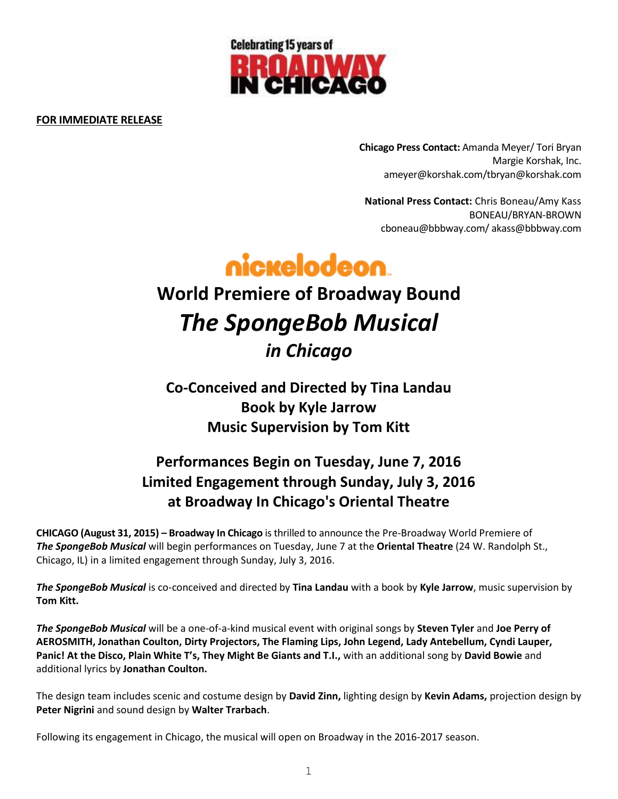

### **FOR IMMEDIATE RELEASE**

**Chicago Press Contact:** Amanda Meyer/ Tori Bryan Margie Korshak, Inc. ameyer@korshak.com/tbryan@korshak.com

**National Press Contact:** Chris Boneau/Amy Kass BONEAU/BRYAN-BROWN [cboneau@bbbway.com/](mailto:cboneau@bbbway.com/) akass@bbbway.com



# **World Premiere of Broadway Bound** *The SpongeBob Musical in Chicago*

**Co-Conceived and Directed by Tina Landau Book by Kyle Jarrow Music Supervision by Tom Kitt**

## **Performances Begin on Tuesday, June 7, 2016 Limited Engagement through Sunday, July 3, 2016 at Broadway In Chicago's Oriental Theatre**

**CHICAGO (August 31, 2015) – Broadway In Chicago** is thrilled to announce the Pre-Broadway World Premiere of *The SpongeBob Musical* will begin performances on Tuesday, June 7 at the **Oriental Theatre** (24 W. Randolph St., Chicago, IL) in a limited engagement through Sunday, July 3, 2016.

*The SpongeBob Musical* is co-conceived and directed by **Tina Landau** with a book by **Kyle Jarrow**, music supervision by **Tom Kitt.** 

*The SpongeBob Musical* will be a one-of-a-kind musical event with original songs by **Steven Tyler** and **Joe Perry of AEROSMITH, Jonathan Coulton, Dirty Projectors, The Flaming Lips, John Legend, Lady Antebellum, Cyndi Lauper, Panic! At the Disco, Plain White T's, They Might Be Giants and T.I.,** with an additional song by **David Bowie** and additional lyrics by **Jonathan Coulton.**

The design team includes scenic and costume design by **David Zinn,** lighting design by **Kevin Adams,** projection design by **Peter Nigrini** and sound design by **Walter Trarbach**.

Following its engagement in Chicago, the musical will open on Broadway in the 2016-2017 season.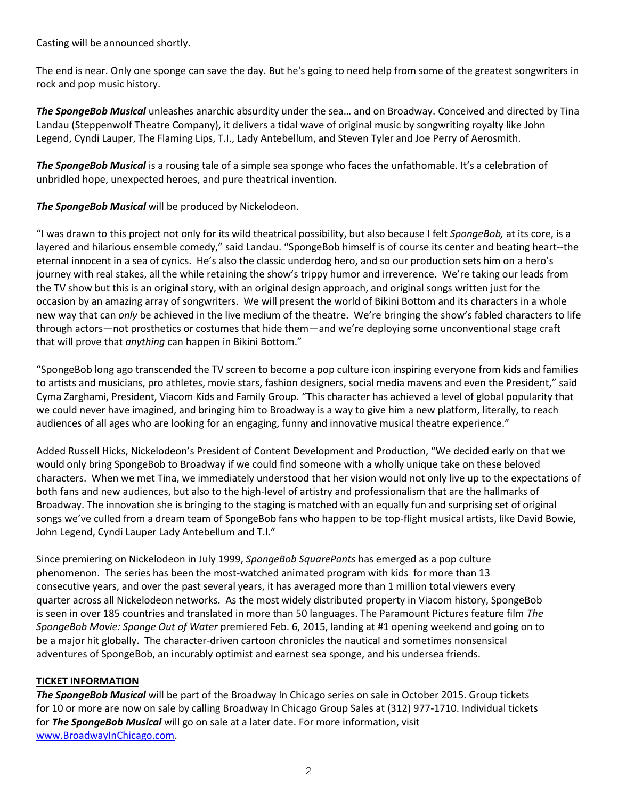Casting will be announced shortly.

The end is near. Only one sponge can save the day. But he's going to need help from some of the greatest songwriters in rock and pop music history.

*The SpongeBob Musical* unleashes anarchic absurdity under the sea… and on Broadway. Conceived and directed by Tina Landau (Steppenwolf Theatre Company), it delivers a tidal wave of original music by songwriting royalty like John Legend, Cyndi Lauper, The Flaming Lips, T.I., Lady Antebellum, and Steven Tyler and Joe Perry of Aerosmith.

*The SpongeBob Musical* is a rousing tale of a simple sea sponge who faces the unfathomable. It's a celebration of unbridled hope, unexpected heroes, and pure theatrical invention.

*The SpongeBob Musical* will be produced by Nickelodeon.

"I was drawn to this project not only for its wild theatrical possibility, but also because I felt *SpongeBob,* at its core, is a layered and hilarious ensemble comedy," said Landau. "SpongeBob himself is of course its center and beating heart--the eternal innocent in a sea of cynics. He's also the classic underdog hero, and so our production sets him on a hero's journey with real stakes, all the while retaining the show's trippy humor and irreverence. We're taking our leads from the TV show but this is an original story, with an original design approach, and original songs written just for the occasion by an amazing array of songwriters. We will present the world of Bikini Bottom and its characters in a whole new way that can *only* be achieved in the live medium of the theatre. We're bringing the show's fabled characters to life through actors—not prosthetics or costumes that hide them—and we're deploying some unconventional stage craft that will prove that *anything* can happen in Bikini Bottom."

"SpongeBob long ago transcended the TV screen to become a pop culture icon inspiring everyone from kids and families to artists and musicians, pro athletes, movie stars, fashion designers, social media mavens and even the President," said Cyma Zarghami, President, Viacom Kids and Family Group. "This character has achieved a level of global popularity that we could never have imagined, and bringing him to Broadway is a way to give him a new platform, literally, to reach audiences of all ages who are looking for an engaging, funny and innovative musical theatre experience."

Added Russell Hicks, Nickelodeon's President of Content Development and Production, "We decided early on that we would only bring SpongeBob to Broadway if we could find someone with a wholly unique take on these beloved characters. When we met Tina, we immediately understood that her vision would not only live up to the expectations of both fans and new audiences, but also to the high-level of artistry and professionalism that are the hallmarks of Broadway. The innovation she is bringing to the staging is matched with an equally fun and surprising set of original songs we've culled from a dream team of SpongeBob fans who happen to be top-flight musical artists, like David Bowie, John Legend, Cyndi Lauper Lady Antebellum and T.I."

Since premiering on Nickelodeon in July 1999, *SpongeBob SquarePants* has emerged as a pop culture phenomenon. The series has been the most-watched animated program with kids for more than 13 consecutive years, and over the past several years, it has averaged more than 1 million total viewers every quarter across all Nickelodeon networks. As the most widely distributed property in Viacom history, SpongeBob is seen in over 185 countries and translated in more than 50 languages. The Paramount Pictures feature film *The SpongeBob Movie: Sponge Out of Water* premiered Feb. 6, 2015, landing at #1 opening weekend and going on to be a major hit globally. The character-driven cartoon chronicles the nautical and sometimes nonsensical adventures of SpongeBob, an incurably optimist and earnest sea sponge, and his undersea friends.

### **TICKET INFORMATION**

*The SpongeBob Musical* will be part of the Broadway In Chicago series on sale in October 2015. Group tickets for 10 or more are now on sale by calling Broadway In Chicago Group Sales at (312) 977-1710. Individual tickets for *The SpongeBob Musical* will go on sale at a later date. For more information, visit [www.BroadwayInChicago.com.](http://www.broadwayinchicago.com/)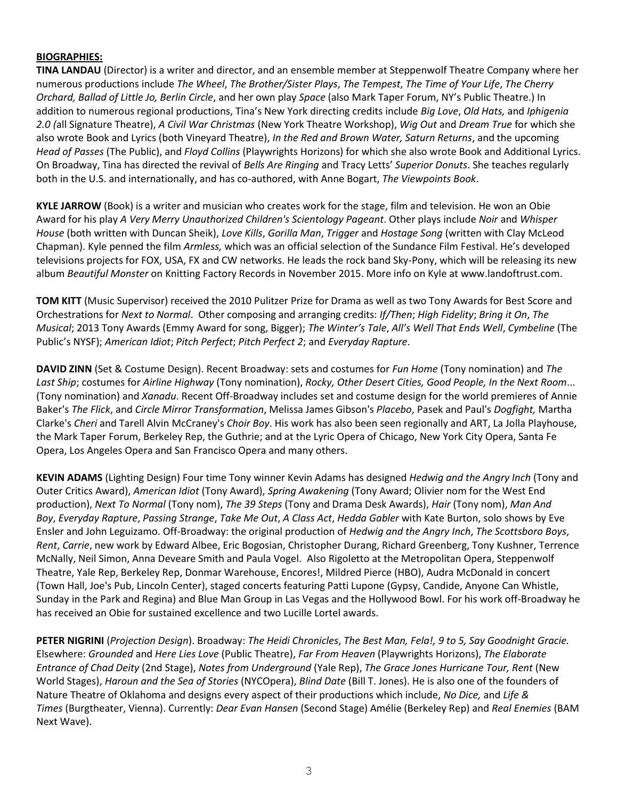#### **BIOGRAPHIES:**

**TINA LANDAU** (Director) is a writer and director, and an ensemble member at Steppenwolf Theatre Company where her numerous productions include *The Wheel*, *The Brother/Sister Plays*, *The Tempest*, *The Time of Your Life*, *The Cherry Orchard, Ballad of Little Jo, Berlin Circle*, and her own play *Space* (also Mark Taper Forum, NY's Public Theatre.) In addition to numerous regional productions, Tina's New York directing credits include *Big Love*, *Old Hats,* and *Iphigenia 2.0 (*all Signature Theatre), *A Civil War Christmas* (New York Theatre Workshop), *Wig Out* and *Dream True* for which she also wrote Book and Lyrics (both Vineyard Theatre), *In the Red and Brown Water, Saturn Returns*, and the upcoming *Head of Passes* (The Public), and *Floyd Collins* (Playwrights Horizons) for which she also wrote Book and Additional Lyrics. On Broadway, Tina has directed the revival of *Bells Are Ringing* and Tracy Letts' *Superior Donuts*. She teaches regularly both in the U.S. and internationally, and has co-authored, with Anne Bogart, *The Viewpoints Book*.

**KYLE JARROW** (Book) is a writer and musician who creates work for the stage, film and television. He won an Obie Award for his play *A Very Merry Unauthorized Children's Scientology Pageant*. Other plays include *Noir* and *Whisper House* (both written with Duncan Sheik), *Love Kills*, *Gorilla Man*, *Trigger* and *Hostage Song* (written with Clay McLeod Chapman). Kyle penned the film *Armless,* which was an official selection of the Sundance Film Festival. He's developed televisions projects for FOX, USA, FX and CW networks. He leads the rock band Sky-Pony, which will be releasing its new album *Beautiful Monster* on Knitting Factory Records in November 2015. More info on Kyle at www.landoftrust.com.

**TOM KITT** (Music Supervisor) received the 2010 Pulitzer Prize for Drama as well as two Tony Awards for Best Score and Orchestrations for *Next to Normal*. Other composing and arranging credits: *If/Then*; *High Fidelity*; *Bring it On*, *The Musical*; 2013 Tony Awards (Emmy Award for song, Bigger); *The Winter's Tale*, *All's Well That Ends Well*, *Cymbeline* (The Public's NYSF); *American Idiot*; *Pitch Perfect*; *Pitch Perfect 2*; and *Everyday Rapture*.

**DAVID ZINN** (Set & Costume Design). Recent Broadway: sets and costumes for *Fun Home* (Tony nomination) and *The Last Ship*; costumes for *Airline Highway* (Tony nomination), *Rocky, Other Desert Cities, Good People, In the Next Room*... (Tony nomination) and *Xanadu*. Recent Off-Broadway includes set and costume design for the world premieres of Annie Baker's *The Flick*, and *Circle Mirror Transformation*, Melissa James Gibson's *Placebo*, Pasek and Paul's *Dogfight,* Martha Clarke's *Cheri* and Tarell Alvin McCraney's *Choir Boy*. His work has also been seen regionally and ART, La Jolla Playhouse, the Mark Taper Forum, Berkeley Rep, the Guthrie; and at the Lyric Opera of Chicago, New York City Opera, Santa Fe Opera, Los Angeles Opera and San Francisco Opera and many others.

**KEVIN ADAMS** (Lighting Design) Four time Tony winner Kevin Adams has designed *Hedwig and the Angry Inch* (Tony and Outer Critics Award), *American Idiot* (Tony Award), *Spring Awakening* (Tony Award; Olivier nom for the West End production), *Next To Normal* (Tony nom), *The 39 Steps* (Tony and Drama Desk Awards), *Hair* (Tony nom), *Man And Boy*, *Everyday Rapture*, *Passing Strange*, *Take Me Out*, *A Class Act*, *Hedda Gabler* with Kate Burton, solo shows by Eve Ensler and John Leguizamo. Off-Broadway: the original production of *Hedwig and the Angry Inch*, *The Scottsboro Boys*, *Rent*, *Carrie*, new work by Edward Albee, Eric Bogosian, Christopher Durang, Richard Greenberg, Tony Kushner, Terrence McNally, Neil Simon, Anna Deveare Smith and Paula Vogel. Also Rigoletto at the Metropolitan Opera, Steppenwolf Theatre, Yale Rep, Berkeley Rep, Donmar Warehouse, Encores!, Mildred Pierce (HBO), Audra McDonald in concert (Town Hall, Joe's Pub, Lincoln Center), staged concerts featuring Patti Lupone (Gypsy, Candide, Anyone Can Whistle, Sunday in the Park and Regina) and Blue Man Group in Las Vegas and the Hollywood Bowl. For his work off-Broadway he has received an Obie for sustained excellence and two Lucille Lortel awards.

**PETER NIGRINI** (*Projection Design*). Broadway: *The Heidi Chronicles*, *The Best Man, Fela!, 9 to 5, Say Goodnight Gracie.*  Elsewhere: *Grounded* and *Here Lies Love* (Public Theatre), *Far From Heaven* (Playwrights Horizons), *The Elaborate Entrance of Chad Deity* (2nd Stage), *Notes from Underground* (Yale Rep), *The Grace Jones Hurricane Tour, Rent* (New World Stages), *Haroun and the Sea of Stories* (NYCOpera), *Blind Date* (Bill T. Jones). He is also one of the founders of Nature Theatre of Oklahoma and designs every aspect of their productions which include, *No Dice,* and *Life & Times* (Burgtheater, Vienna). Currently: *Dear Evan Hansen* (Second Stage) Amélie (Berkeley Rep) and *Real Enemies* (BAM Next Wave).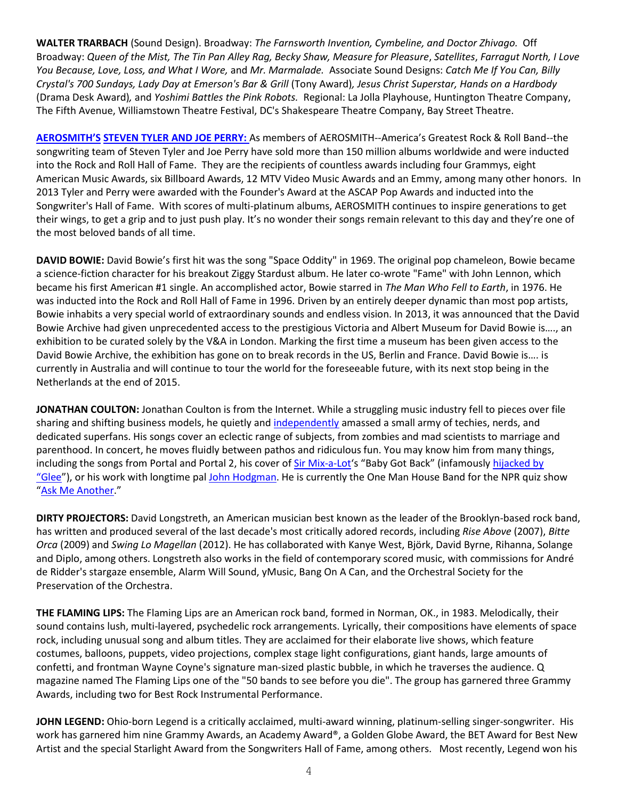**WALTER TRARBACH** (Sound Design). Broadway: *The Farnsworth Invention, Cymbeline, and Doctor Zhivago.* Off Broadway: *Queen of the Mist, The Tin Pan Alley Rag, Becky Shaw, Measure for Pleasure*, *Satellites*, *Farragut North, I Love You Because, Love, Loss, and What I Wore,* and *Mr. Marmalade.* Associate Sound Designs: *Catch Me If You Can, Billy Crystal's 700 Sundays, Lady Day at Emerson's Bar & Grill* (Tony Award)*, Jesus Christ Superstar, Hands on a Hardbody*  (Drama Desk Award)*,* and *Yoshimi Battles the Pink Robots.* Regional: La Jolla Playhouse, Huntington Theatre Company, The Fifth Avenue, Williamstown Theatre Festival, DC's Shakespeare Theatre Company, Bay Street Theatre.

**AEROSMITH'S [STEVEN TYLER](http://steventyler.com/) AND JOE PERRY:** As members of AEROSMITH--America's Greatest Rock & Roll Band--the songwriting team of Steven Tyler and Joe Perry have sold more than 150 million albums worldwide and were inducted into the Rock and Roll Hall of Fame. They are the recipients of countless awards including four Grammys, eight American Music Awards, six Billboard Awards, 12 MTV Video Music Awards and an Emmy, among many other honors. In 2013 Tyler and Perry were awarded with the Founder's Award at the ASCAP Pop Awards and inducted into the Songwriter's Hall of Fame. With scores of multi-platinum albums, AEROSMITH continues to inspire generations to get their wings, to get a grip and to just push play. It's no wonder their songs remain relevant to this day and they're one of the most beloved bands of all time.

**DAVID BOWIE:** David Bowie's first hit was the song "Space Oddity" in 1969. The original pop chameleon, Bowie became a science-fiction character for his breakout Ziggy Stardust album. He later co-wrote "Fame" with John Lennon, which became his first American #1 single. An accomplished actor, Bowie starred in *The Man Who Fell to Earth*, in 1976. He was inducted into the Rock and Roll Hall of Fame in 1996. Driven by an entirely deeper dynamic than most pop artists, Bowie inhabits a very special world of extraordinary sounds and endless vision. In 2013, it was announced that the David Bowie Archive had given unprecedented access to the prestigious Victoria and Albert Museum for David Bowie is…., an exhibition to be curated solely by the V&A in London. Marking the first time a museum has been given access to the David Bowie Archive, the exhibition has gone on to break records in the US, Berlin and France. David Bowie is…. is currently in Australia and will continue to tour the world for the foreseeable future, with its next stop being in the Netherlands at the end of 2015.

**JONATHAN COULTON:** Jonathan Coulton is from the Internet. While a struggling music industry fell to pieces over file sharing and shifting business models, he quietly and [independently](http://www.nytimes.com/2007/05/13/magazine/13audience-t.html) amassed a small army of techies, nerds, and dedicated superfans. His songs cover an eclectic range of subjects, from zombies and mad scientists to marriage and parenthood. In concert, he moves fluidly between pathos and ridiculous fun. You may know him from many things, including the songs from Portal and Portal 2, his cover of [Sir Mix-a-Lot](http://sirmixalot.com/)'s "Baby Got Back" (infamously hijacked by ["Glee"](http://www.wired.com/2013/01/jonathan-coulton-glee-song/)), or his work with longtime pal [John Hodgman.](http://www.johnhodgman.com/) He is currently the One Man House Band for the NPR quiz show "[Ask Me Another](http://www.npr.org/programs/ask-me-another/)."

**DIRTY PROJECTORS:** David Longstreth, an American musician best known as the leader of the Brooklyn-based rock band, has written and produced several of the last decade's most critically adored records, including *Rise Above* (2007), *Bitte Orca* (2009) and *Swing Lo Magellan* (2012). He has collaborated with Kanye West, Björk, David Byrne, Rihanna, Solange and Diplo, among others. Longstreth also works in the field of contemporary scored music, with commissions for André de Ridder's stargaze ensemble, Alarm Will Sound, yMusic, Bang On A Can, and the Orchestral Society for the Preservation of the Orchestra.

**THE FLAMING LIPS:** The Flaming Lips are an American rock band, formed in Norman, OK., in 1983. Melodically, their sound contains lush, multi-layered, psychedelic rock arrangements. Lyrically, their compositions have elements of space rock, including unusual song and album titles. They are acclaimed for their elaborate live shows, which feature costumes, balloons, puppets, video projections, complex stage light configurations, giant hands, large amounts of confetti, and frontman Wayne Coyne's signature man-sized plastic bubble, in which he traverses the audience. Q magazine named The Flaming Lips one of the "50 bands to see before you die". The group has garnered three Grammy Awards, including two for Best Rock Instrumental Performance.

**JOHN LEGEND:** Ohio-born Legend is a critically acclaimed, multi-award winning, platinum-selling singer-songwriter. His work has garnered him nine Grammy Awards, an Academy Award®, a Golden Globe Award, the BET Award for Best New Artist and the special Starlight Award from the Songwriters Hall of Fame, among others. Most recently, Legend won his